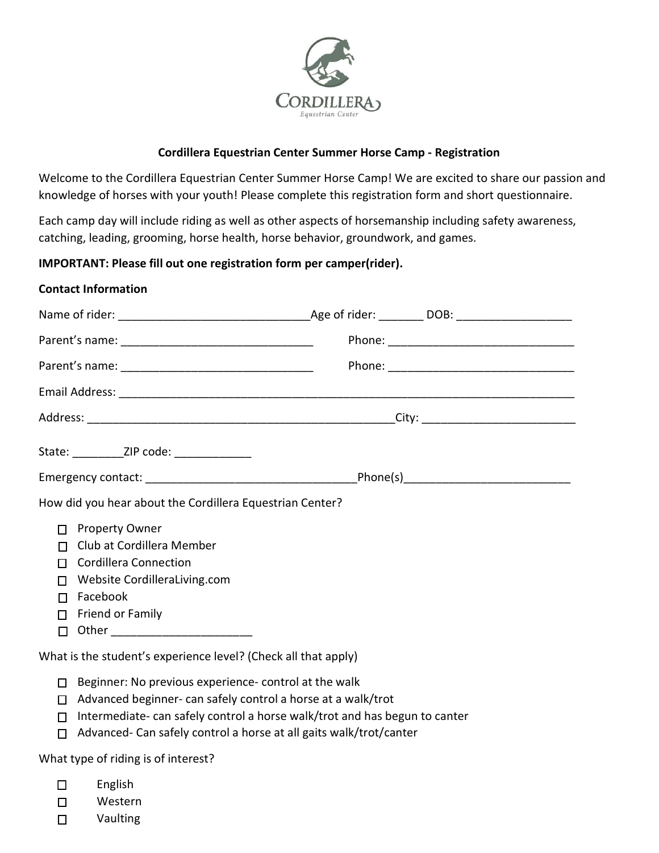

## Cordillera Equestrian Center Summer Horse Camp - Registration

Welcome to the Cordillera Equestrian Center Summer Horse Camp! We are excited to share our passion and knowledge of horses with your youth! Please complete this registration form and Please complete this registration form and return to djones@cordillerametro.org.

Each camp day will include riding as well as other aspects of horsemanship including safety awareness, catching, leading, grooming, horse health, horse behavior, groundwork, and games.

IMPORTANT: Please fill out one registration form per camper(rider).

| Contact information                                                |  |
|--------------------------------------------------------------------|--|
|                                                                    |  |
|                                                                    |  |
|                                                                    |  |
|                                                                    |  |
|                                                                    |  |
| State: _____________ZIP code: _________________                    |  |
|                                                                    |  |
| did you hear about the Cordillera Equestrian Center?               |  |
| <b>Property Owner</b><br>п                                         |  |
| Club at Cordillera Member<br>п                                     |  |
| <b>Cordillera Connection</b><br>П                                  |  |
| Website CordilleraLiving.com<br>$\Box$                             |  |
| Facebook<br>$\Box$                                                 |  |
| Friend or Family<br>$\Box$                                         |  |
| Other ___________________________<br>$\Box$                        |  |
| What is the student's experience level? (Check all that apply)     |  |
| Beginner: No previous experience- control at the walk<br>П.        |  |
| Advanced beginner- can safely control a horse at a walk/trot<br>П. |  |

- $\Box$  Intermediate- can safely control a horse walk/trot and has begun to canter
- $\Box$  Advanced- Can safely control a horse at all gaits walk/trot/canter

What type of riding is of interest?

 $\square$  English

 $C<sub>0</sub>$   $T<sub>0</sub>$ 

- $\square$  Western
- $\square$  Vaulting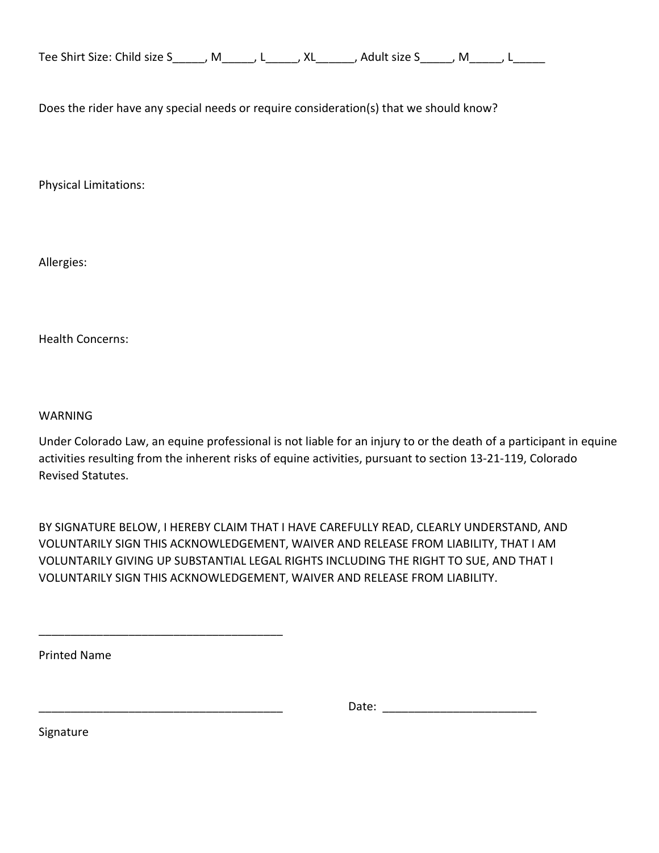| Tee Shirt Size: Child size S | M |  |  | Adult size S |  |
|------------------------------|---|--|--|--------------|--|
|------------------------------|---|--|--|--------------|--|

Does the rider have any special needs or require consideration(s) that we should know?

Physical Limitations:

Allergies:

Health Concerns:

WARNING

Under Colorado Law, an equine professional is not liable for an injury to or the death of a participant in equine activities resulting from the inherent risks of equine activities, pursuant to section 13-21-119, Colorado Revised Statutes.

BY SIGNATURE BELOW, I HEREBY CLAIM THAT I HAVE CAREFULLY READ, CLEARLY UNDERSTAND, AND VOLUNTARILY SIGN THIS ACKNOWLEDGEMENT, WAIVER AND RELEASE FROM LIABILITY, THAT I AM VOLUNTARILY GIVING UP SUBSTANTIAL LEGAL RIGHTS INCLUDING THE RIGHT TO SUE, AND THAT I VOLUNTARILY SIGN THIS ACKNOWLEDGEMENT, WAIVER AND RELEASE FROM LIABILITY.

Printed Name

\_\_\_\_\_\_\_\_\_\_\_\_\_\_\_\_\_\_\_\_\_\_\_\_\_\_\_\_\_\_\_\_\_\_\_\_\_\_ Date: \_\_\_\_\_\_\_\_\_\_\_\_\_\_\_\_\_\_\_\_\_\_\_\_

Signature

Return completed form to djones@cordillerametro.org.

\_\_\_\_\_\_\_\_\_\_\_\_\_\_\_\_\_\_\_\_\_\_\_\_\_\_\_\_\_\_\_\_\_\_\_\_\_\_